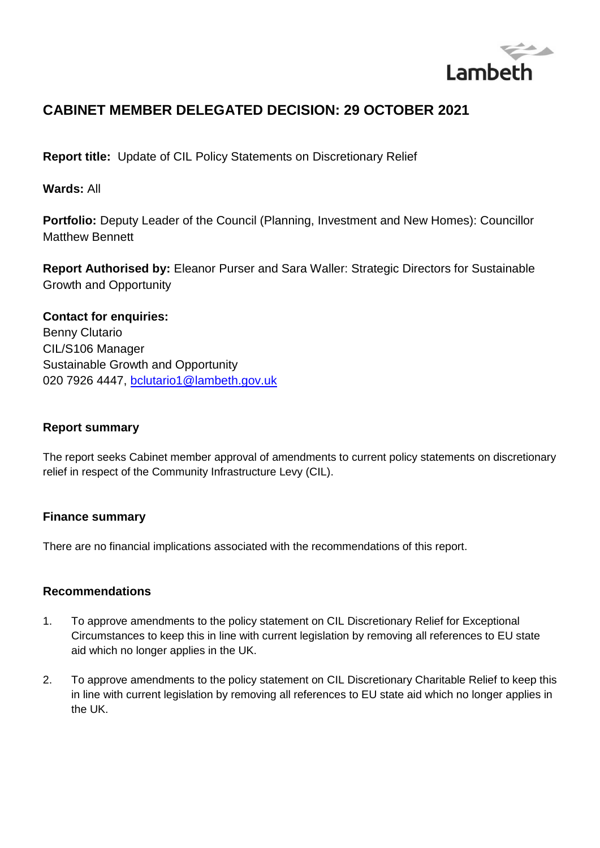

# **CABINET MEMBER DELEGATED DECISION: 29 OCTOBER 2021**

**Report title:** Update of CIL Policy Statements on Discretionary Relief

**Wards:** All

**Portfolio:** Deputy Leader of the Council (Planning, Investment and New Homes): Councillor Matthew Bennett

**Report Authorised by:** Eleanor Purser and Sara Waller: Strategic Directors for Sustainable Growth and Opportunity

# **Contact for enquiries:**

Benny Clutario CIL/S106 Manager Sustainable Growth and Opportunity 020 7926 4447, [bclutario1@lambeth.gov.uk](mailto:bclutario1@lambeth.gov.uk)

### **Report summary**

The report seeks Cabinet member approval of amendments to current policy statements on discretionary relief in respect of the Community Infrastructure Levy (CIL).

### **Finance summary**

There are no financial implications associated with the recommendations of this report.

### **Recommendations**

- 1. To approve amendments to the policy statement on CIL Discretionary Relief for Exceptional Circumstances to keep this in line with current legislation by removing all references to EU state aid which no longer applies in the UK.
- 2. To approve amendments to the policy statement on CIL Discretionary Charitable Relief to keep this in line with current legislation by removing all references to EU state aid which no longer applies in the UK.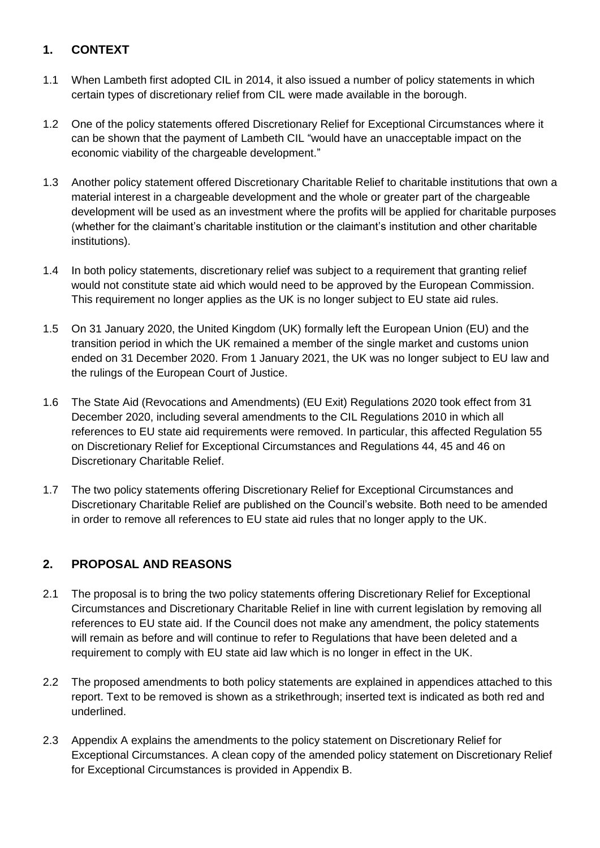### **1. CONTEXT**

- 1.1 When Lambeth first adopted CIL in 2014, it also issued a number of policy statements in which certain types of discretionary relief from CIL were made available in the borough.
- 1.2 One of the policy statements offered Discretionary Relief for Exceptional Circumstances where it can be shown that the payment of Lambeth CIL "would have an unacceptable impact on the economic viability of the chargeable development."
- 1.3 Another policy statement offered Discretionary Charitable Relief to charitable institutions that own a material interest in a chargeable development and the whole or greater part of the chargeable development will be used as an investment where the profits will be applied for charitable purposes (whether for the claimant's charitable institution or the claimant's institution and other charitable institutions).
- 1.4 In both policy statements, discretionary relief was subject to a requirement that granting relief would not constitute state aid which would need to be approved by the European Commission. This requirement no longer applies as the UK is no longer subject to EU state aid rules.
- 1.5 On 31 January 2020, the United Kingdom (UK) formally left the European Union (EU) and the transition period in which the UK remained a member of the single market and customs union ended on 31 December 2020. From 1 January 2021, the UK was no longer subject to EU law and the rulings of the European Court of Justice.
- 1.6 The State Aid (Revocations and Amendments) (EU Exit) Regulations 2020 took effect from 31 December 2020, including several amendments to the CIL Regulations 2010 in which all references to EU state aid requirements were removed. In particular, this affected Regulation 55 on Discretionary Relief for Exceptional Circumstances and Regulations 44, 45 and 46 on Discretionary Charitable Relief.
- 1.7 The two policy statements offering Discretionary Relief for Exceptional Circumstances and Discretionary Charitable Relief are published on the Council's website. Both need to be amended in order to remove all references to EU state aid rules that no longer apply to the UK.

## **2. PROPOSAL AND REASONS**

- 2.1 The proposal is to bring the two policy statements offering Discretionary Relief for Exceptional Circumstances and Discretionary Charitable Relief in line with current legislation by removing all references to EU state aid. If the Council does not make any amendment, the policy statements will remain as before and will continue to refer to Regulations that have been deleted and a requirement to comply with EU state aid law which is no longer in effect in the UK.
- 2.2 The proposed amendments to both policy statements are explained in appendices attached to this report. Text to be removed is shown as a strikethrough; inserted text is indicated as both red and underlined.
- 2.3 Appendix A explains the amendments to the policy statement on Discretionary Relief for Exceptional Circumstances. A clean copy of the amended policy statement on Discretionary Relief for Exceptional Circumstances is provided in Appendix B.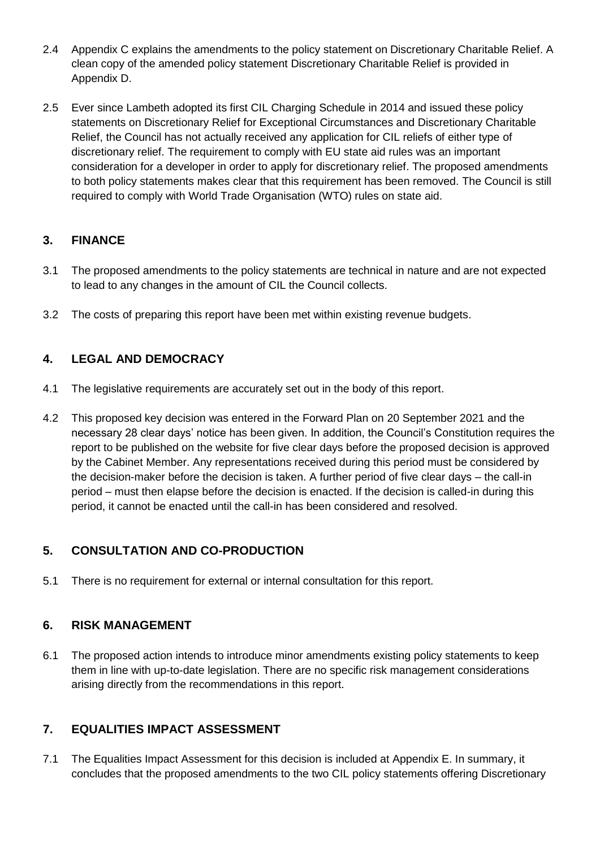- 2.4 Appendix C explains the amendments to the policy statement on Discretionary Charitable Relief. A clean copy of the amended policy statement Discretionary Charitable Relief is provided in Appendix D.
- 2.5 Ever since Lambeth adopted its first CIL Charging Schedule in 2014 and issued these policy statements on Discretionary Relief for Exceptional Circumstances and Discretionary Charitable Relief, the Council has not actually received any application for CIL reliefs of either type of discretionary relief. The requirement to comply with EU state aid rules was an important consideration for a developer in order to apply for discretionary relief. The proposed amendments to both policy statements makes clear that this requirement has been removed. The Council is still required to comply with World Trade Organisation (WTO) rules on state aid.

## **3. FINANCE**

- 3.1 The proposed amendments to the policy statements are technical in nature and are not expected to lead to any changes in the amount of CIL the Council collects.
- 3.2 The costs of preparing this report have been met within existing revenue budgets.

## **4. LEGAL AND DEMOCRACY**

- 4.1 The legislative requirements are accurately set out in the body of this report.
- 4.2 This proposed key decision was entered in the Forward Plan on 20 September 2021 and the necessary 28 clear days' notice has been given. In addition, the Council's Constitution requires the report to be published on the website for five clear days before the proposed decision is approved by the Cabinet Member. Any representations received during this period must be considered by the decision-maker before the decision is taken. A further period of five clear days – the call-in period – must then elapse before the decision is enacted. If the decision is called-in during this period, it cannot be enacted until the call-in has been considered and resolved.

## **5. CONSULTATION AND CO-PRODUCTION**

5.1 There is no requirement for external or internal consultation for this report.

### **6. RISK MANAGEMENT**

6.1 The proposed action intends to introduce minor amendments existing policy statements to keep them in line with up-to-date legislation. There are no specific risk management considerations arising directly from the recommendations in this report.

### **7. EQUALITIES IMPACT ASSESSMENT**

7.1 The Equalities Impact Assessment for this decision is included at Appendix E. In summary, it concludes that the proposed amendments to the two CIL policy statements offering Discretionary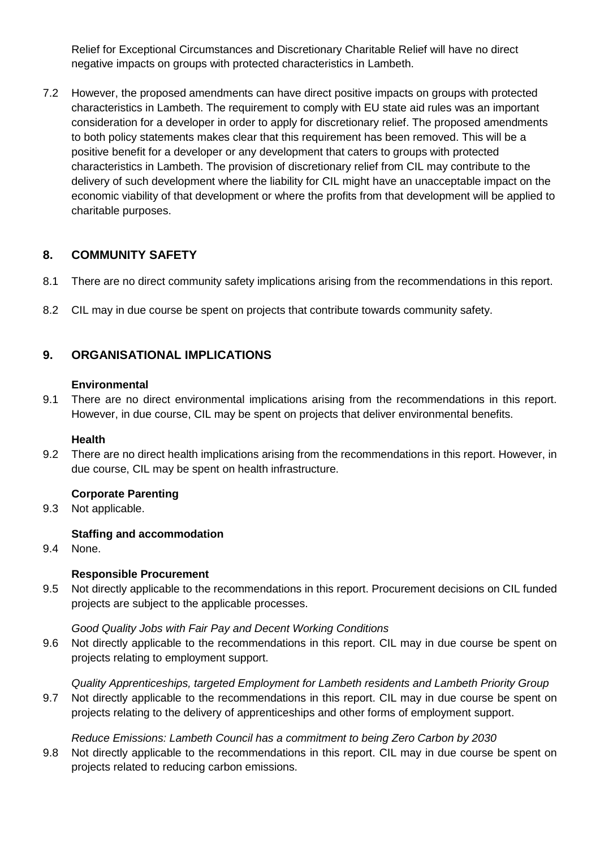Relief for Exceptional Circumstances and Discretionary Charitable Relief will have no direct negative impacts on groups with protected characteristics in Lambeth.

7.2 However, the proposed amendments can have direct positive impacts on groups with protected characteristics in Lambeth. The requirement to comply with EU state aid rules was an important consideration for a developer in order to apply for discretionary relief. The proposed amendments to both policy statements makes clear that this requirement has been removed. This will be a positive benefit for a developer or any development that caters to groups with protected characteristics in Lambeth. The provision of discretionary relief from CIL may contribute to the delivery of such development where the liability for CIL might have an unacceptable impact on the economic viability of that development or where the profits from that development will be applied to charitable purposes.

### **8. COMMUNITY SAFETY**

- 8.1 There are no direct community safety implications arising from the recommendations in this report.
- 8.2 CIL may in due course be spent on projects that contribute towards community safety.

### **9. ORGANISATIONAL IMPLICATIONS**

#### **Environmental**

9.1 There are no direct environmental implications arising from the recommendations in this report. However, in due course, CIL may be spent on projects that deliver environmental benefits.

#### **Health**

9.2 There are no direct health implications arising from the recommendations in this report. However, in due course, CIL may be spent on health infrastructure.

#### **Corporate Parenting**

9.3 Not applicable.

#### **Staffing and accommodation**

9.4 None.

#### **Responsible Procurement**

9.5 Not directly applicable to the recommendations in this report. Procurement decisions on CIL funded projects are subject to the applicable processes.

#### *Good Quality Jobs with Fair Pay and Decent Working Conditions*

9.6 Not directly applicable to the recommendations in this report. CIL may in due course be spent on projects relating to employment support.

*Quality Apprenticeships, targeted Employment for Lambeth residents and Lambeth Priority Group*

9.7 Not directly applicable to the recommendations in this report. CIL may in due course be spent on projects relating to the delivery of apprenticeships and other forms of employment support.

#### *Reduce Emissions: Lambeth Council has a commitment to being Zero Carbon by 2030*

9.8 Not directly applicable to the recommendations in this report. CIL may in due course be spent on projects related to reducing carbon emissions.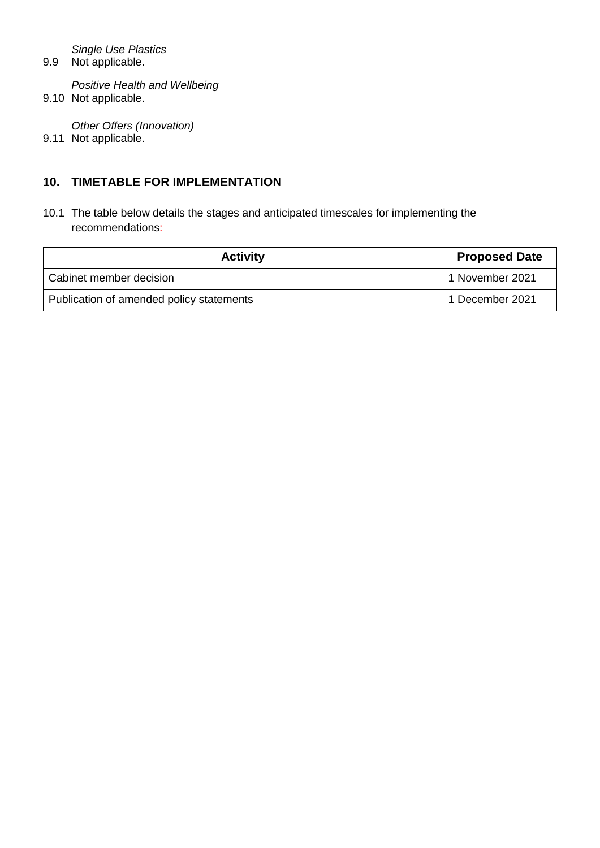*Single Use Plastics*

9.9 Not applicable.

*Positive Health and Wellbeing*  9.10 Not applicable.

*Other Offers (Innovation)* 9.11 Not applicable.

### **10. TIMETABLE FOR IMPLEMENTATION**

10.1 The table below details the stages and anticipated timescales for implementing the recommendations:

| <b>Activity</b>                          | <b>Proposed Date</b> |
|------------------------------------------|----------------------|
| Cabinet member decision                  | 1 November 2021      |
| Publication of amended policy statements | 1 December 2021      |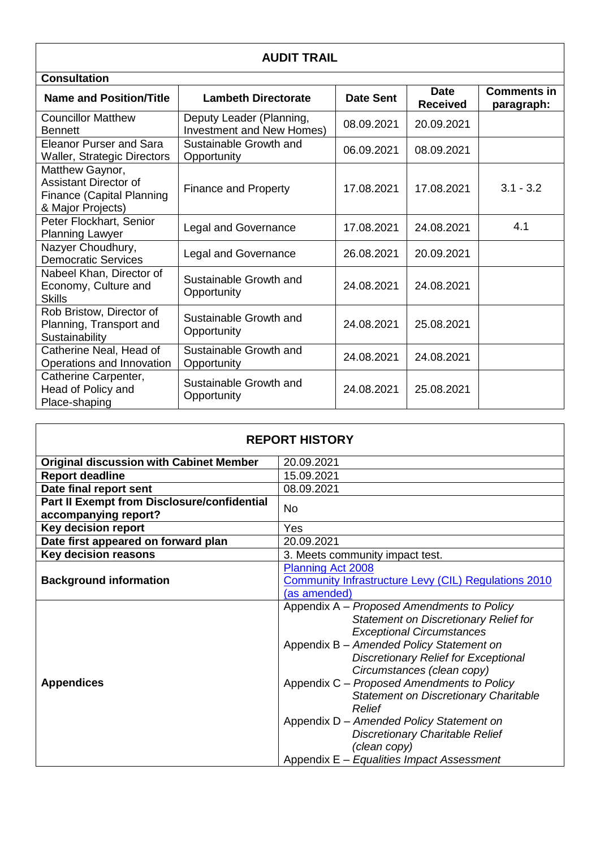|                                                                                                   | <b>AUDIT TRAIL</b>                                    |                  |                                |                                  |
|---------------------------------------------------------------------------------------------------|-------------------------------------------------------|------------------|--------------------------------|----------------------------------|
| <b>Consultation</b>                                                                               |                                                       |                  |                                |                                  |
| <b>Name and Position/Title</b>                                                                    | <b>Lambeth Directorate</b>                            | <b>Date Sent</b> | <b>Date</b><br><b>Received</b> | <b>Comments in</b><br>paragraph: |
| <b>Councillor Matthew</b><br><b>Bennett</b>                                                       | Deputy Leader (Planning,<br>Investment and New Homes) | 08.09.2021       | 20.09.2021                     |                                  |
| <b>Eleanor Purser and Sara</b><br><b>Waller, Strategic Directors</b>                              | Sustainable Growth and<br>Opportunity                 | 06.09.2021       | 08.09.2021                     |                                  |
| Matthew Gaynor,<br>Assistant Director of<br><b>Finance (Capital Planning</b><br>& Major Projects) | <b>Finance and Property</b>                           | 17.08.2021       | 17.08.2021                     | $3.1 - 3.2$                      |
| Peter Flockhart, Senior<br><b>Planning Lawyer</b>                                                 | <b>Legal and Governance</b>                           | 17.08.2021       | 24.08.2021                     | 4.1                              |
| Nazyer Choudhury,<br><b>Democratic Services</b>                                                   | <b>Legal and Governance</b>                           | 26.08.2021       | 20.09.2021                     |                                  |
| Nabeel Khan, Director of<br>Economy, Culture and<br><b>Skills</b>                                 | Sustainable Growth and<br>Opportunity                 | 24.08.2021       | 24.08.2021                     |                                  |
| Rob Bristow, Director of<br>Planning, Transport and<br>Sustainability                             | Sustainable Growth and<br>Opportunity                 | 24.08.2021       | 25.08.2021                     |                                  |
| Catherine Neal, Head of<br>Operations and Innovation                                              | Sustainable Growth and<br>Opportunity                 | 24.08.2021       | 24.08.2021                     |                                  |
| Catherine Carpenter,<br>Head of Policy and<br>Place-shaping                                       | Sustainable Growth and<br>Opportunity                 | 24.08.2021       | 25.08.2021                     |                                  |

|                                                                            | <b>REPORT HISTORY</b>                                                                                                                                                                                                                                                                                                                                                                                                                                                                                       |
|----------------------------------------------------------------------------|-------------------------------------------------------------------------------------------------------------------------------------------------------------------------------------------------------------------------------------------------------------------------------------------------------------------------------------------------------------------------------------------------------------------------------------------------------------------------------------------------------------|
| <b>Original discussion with Cabinet Member</b>                             | 20.09.2021                                                                                                                                                                                                                                                                                                                                                                                                                                                                                                  |
| <b>Report deadline</b>                                                     | 15.09.2021                                                                                                                                                                                                                                                                                                                                                                                                                                                                                                  |
| Date final report sent                                                     | 08.09.2021                                                                                                                                                                                                                                                                                                                                                                                                                                                                                                  |
| <b>Part II Exempt from Disclosure/confidential</b><br>accompanying report? | <b>No</b>                                                                                                                                                                                                                                                                                                                                                                                                                                                                                                   |
| Key decision report                                                        | Yes                                                                                                                                                                                                                                                                                                                                                                                                                                                                                                         |
| Date first appeared on forward plan                                        | 20.09.2021                                                                                                                                                                                                                                                                                                                                                                                                                                                                                                  |
| Key decision reasons                                                       | 3. Meets community impact test.                                                                                                                                                                                                                                                                                                                                                                                                                                                                             |
| <b>Background information</b>                                              | <b>Planning Act 2008</b><br><b>Community Infrastructure Levy (CIL) Regulations 2010</b><br>(as amended)                                                                                                                                                                                                                                                                                                                                                                                                     |
| <b>Appendices</b>                                                          | Appendix A - Proposed Amendments to Policy<br><b>Statement on Discretionary Relief for</b><br><b>Exceptional Circumstances</b><br>Appendix B - Amended Policy Statement on<br><b>Discretionary Relief for Exceptional</b><br>Circumstances (clean copy)<br>Appendix C - Proposed Amendments to Policy<br>Statement on Discretionary Charitable<br>Relief<br>Appendix D - Amended Policy Statement on<br><b>Discretionary Charitable Relief</b><br>(clean copy)<br>Appendix E - Equalities Impact Assessment |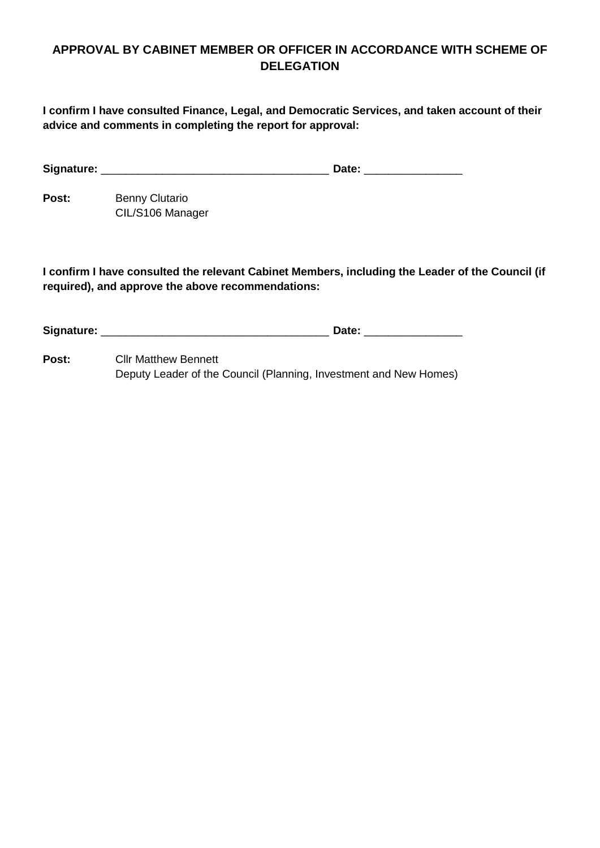### **APPROVAL BY CABINET MEMBER OR OFFICER IN ACCORDANCE WITH SCHEME OF DELEGATION**

**I confirm I have consulted Finance, Legal, and Democratic Services, and taken account of their advice and comments in completing the report for approval:**

| Signature:<br>. |
|-----------------|
|-----------------|

Post: Benny Clutario CIL/S106 Manager

**I confirm I have consulted the relevant Cabinet Members, including the Leader of the Council (if required), and approve the above recommendations:**

**Signature:** \_\_\_\_\_\_\_\_\_\_\_\_\_\_\_\_\_\_\_\_\_\_\_\_\_\_\_\_\_\_\_\_\_\_\_\_\_ **Date:** \_\_\_\_\_\_\_\_\_\_\_\_\_\_\_\_

**Post:** Cllr Matthew Bennett Deputy Leader of the Council (Planning, Investment and New Homes)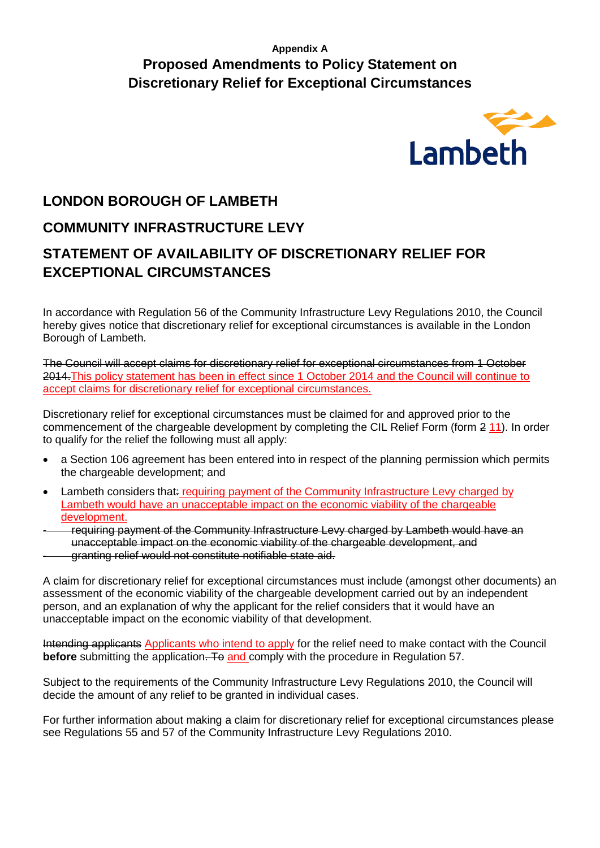## **Appendix A Proposed Amendments to Policy Statement on Discretionary Relief for Exceptional Circumstances**



# **LONDON BOROUGH OF LAMBETH**

# **COMMUNITY INFRASTRUCTURE LEVY**

# **STATEMENT OF AVAILABILITY OF DISCRETIONARY RELIEF FOR EXCEPTIONAL CIRCUMSTANCES**

In accordance with Regulation 56 of the Community Infrastructure Levy Regulations 2010, the Council hereby gives notice that discretionary relief for exceptional circumstances is available in the London Borough of Lambeth.

The Council will accept claims for discretionary relief for exceptional circumstances from 1 October 2014. This policy statement has been in effect since 1 October 2014 and the Council will continue to accept claims for discretionary relief for exceptional circumstances.

Discretionary relief for exceptional circumstances must be claimed for and approved prior to the commencement of the chargeable development by completing the CIL Relief Form (form 2 11). In order to qualify for the relief the following must all apply:

- a Section 106 agreement has been entered into in respect of the planning permission which permits the chargeable development; and
- Lambeth considers that: requiring payment of the Community Infrastructure Levy charged by Lambeth would have an unacceptable impact on the economic viability of the chargeable development.
- requiring payment of the Community Infrastructure Levy charged by Lambeth would have an unacceptable impact on the economic viability of the chargeable development, and
- granting relief would not constitute notifiable state aid.

A claim for discretionary relief for exceptional circumstances must include (amongst other documents) an assessment of the economic viability of the chargeable development carried out by an independent person, and an explanation of why the applicant for the relief considers that it would have an unacceptable impact on the economic viability of that development.

Intending applicants Applicants who intend to apply for the relief need to make contact with the Council **before** submitting the application. To and comply with the procedure in Regulation 57.

Subject to the requirements of the Community Infrastructure Levy Regulations 2010, the Council will decide the amount of any relief to be granted in individual cases.

For further information about making a claim for discretionary relief for exceptional circumstances please see Regulations 55 and 57 of the Community Infrastructure Levy Regulations 2010.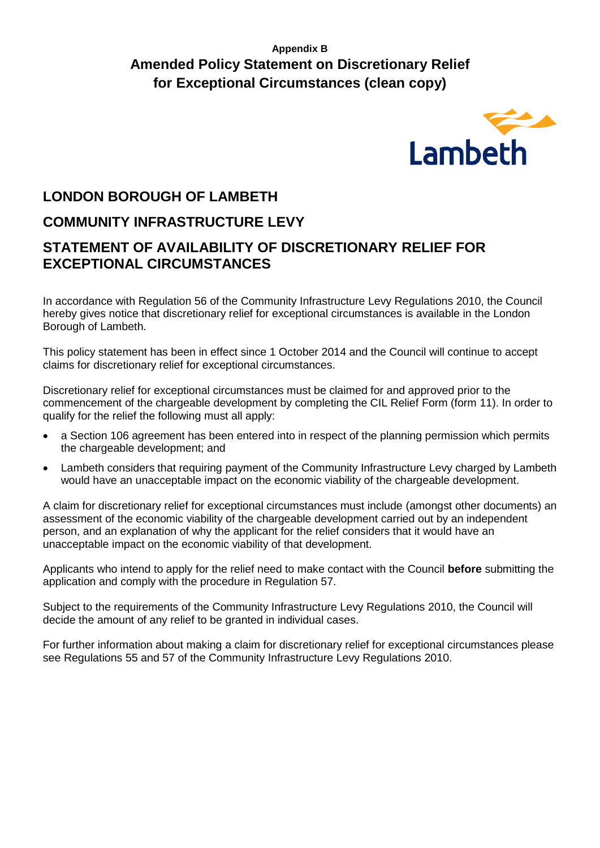## **Appendix B Amended Policy Statement on Discretionary Relief for Exceptional Circumstances (clean copy)**



# **LONDON BOROUGH OF LAMBETH**

# **COMMUNITY INFRASTRUCTURE LEVY**

# **STATEMENT OF AVAILABILITY OF DISCRETIONARY RELIEF FOR EXCEPTIONAL CIRCUMSTANCES**

In accordance with Regulation 56 of the Community Infrastructure Levy Regulations 2010, the Council hereby gives notice that discretionary relief for exceptional circumstances is available in the London Borough of Lambeth.

This policy statement has been in effect since 1 October 2014 and the Council will continue to accept claims for discretionary relief for exceptional circumstances.

Discretionary relief for exceptional circumstances must be claimed for and approved prior to the commencement of the chargeable development by completing the CIL Relief Form (form 11). In order to qualify for the relief the following must all apply:

- a Section 106 agreement has been entered into in respect of the planning permission which permits the chargeable development; and
- Lambeth considers that requiring payment of the Community Infrastructure Levy charged by Lambeth would have an unacceptable impact on the economic viability of the chargeable development.

A claim for discretionary relief for exceptional circumstances must include (amongst other documents) an assessment of the economic viability of the chargeable development carried out by an independent person, and an explanation of why the applicant for the relief considers that it would have an unacceptable impact on the economic viability of that development.

Applicants who intend to apply for the relief need to make contact with the Council **before** submitting the application and comply with the procedure in Regulation 57.

Subject to the requirements of the Community Infrastructure Levy Regulations 2010, the Council will decide the amount of any relief to be granted in individual cases.

For further information about making a claim for discretionary relief for exceptional circumstances please see Regulations 55 and 57 of the Community Infrastructure Levy Regulations 2010.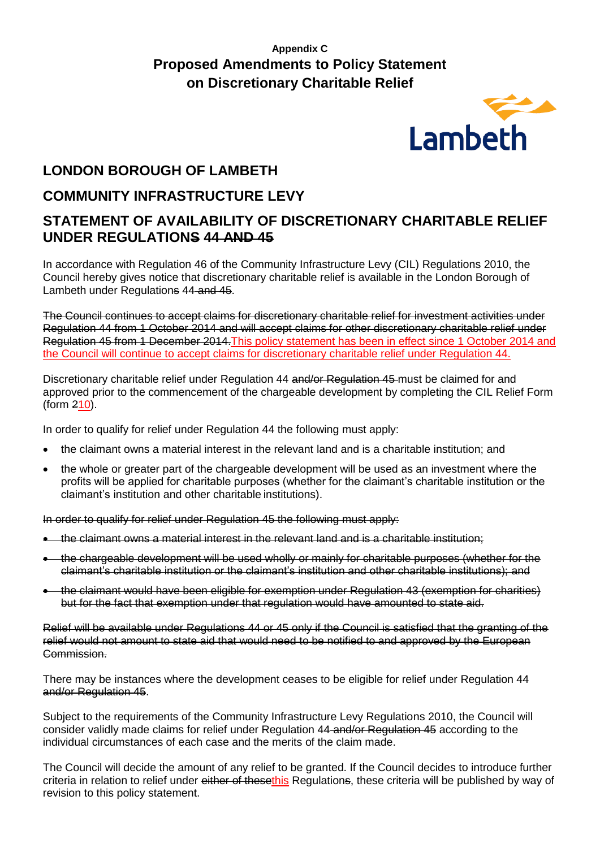# **Appendix C Proposed Amendments to Policy Statement on Discretionary Charitable Relief**



# **LONDON BOROUGH OF LAMBETH**

## **COMMUNITY INFRASTRUCTURE LEVY**

# **STATEMENT OF AVAILABILITY OF DISCRETIONARY CHARITABLE RELIEF UNDER REGULATIONS 44 AND 45**

In accordance with Regulation 46 of the Community Infrastructure Levy (CIL) Regulations 2010, the Council hereby gives notice that discretionary charitable relief is available in the London Borough of Lambeth under Regulations 44 and 45.

The Council continues to accept claims for discretionary charitable relief for investment activities under Regulation 44 from 1 October 2014 and will accept claims for other discretionary charitable relief under Regulation 45 from 1 December 2014.This policy statement has been in effect since 1 October 2014 and the Council will continue to accept claims for discretionary charitable relief under Regulation 44.

Discretionary charitable relief under Regulation 44 and/or Regulation 45 must be claimed for and approved prior to the commencement of the chargeable development by completing the CIL Relief Form (form 210).

In order to qualify for relief under Regulation 44 the following must apply:

- the claimant owns a material interest in the relevant land and is a charitable institution; and
- the whole or greater part of the chargeable development will be used as an investment where the profits will be applied for charitable purposes (whether for the claimant's charitable institution or the claimant's institution and other charitable institutions).

In order to qualify for relief under Regulation 45 the following must apply:

- the claimant owns a material interest in the relevant land and is a charitable institution;
- the chargeable development will be used wholly or mainly for charitable purposes (whether for the claimant's charitable institution or the claimant's institution and other charitable institutions); and
- the claimant would have been eligible for exemption under Regulation 43 (exemption for charities) but for the fact that exemption under that regulation would have amounted to state aid.

Relief will be available under Regulations 44 or 45 only if the Council is satisfied that the granting of the relief would not amount to state aid that would need to be notified to and approved by the European Commission.

There may be instances where the development ceases to be eligible for relief under Regulation 44 and/or Regulation 45.

Subject to the requirements of the Community Infrastructure Levy Regulations 2010, the Council will consider validly made claims for relief under Regulation 44 and/or Regulation 45 according to the individual circumstances of each case and the merits of the claim made.

The Council will decide the amount of any relief to be granted. If the Council decides to introduce further criteria in relation to relief under either of thesethis Regulations, these criteria will be published by way of revision to this policy statement.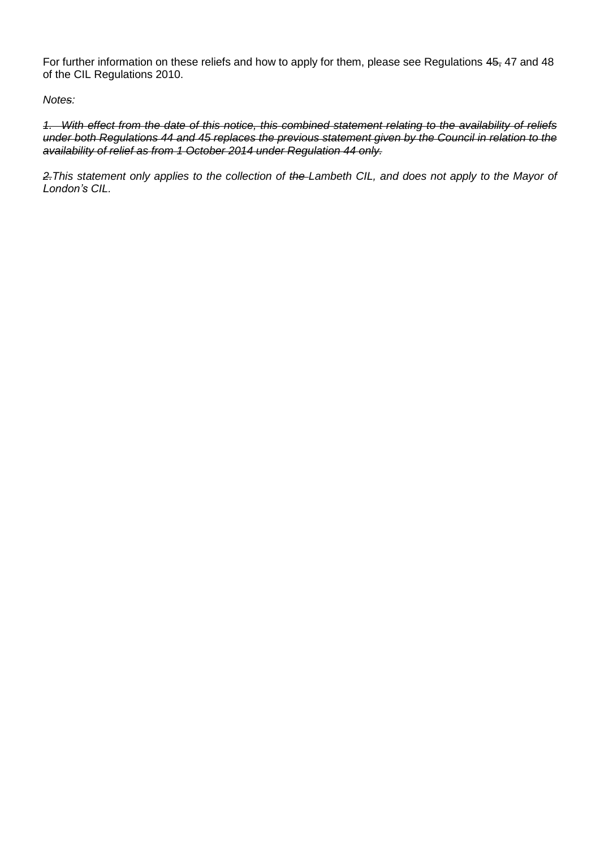For further information on these reliefs and how to apply for them, please see Regulations 45, 47 and 48 of the CIL Regulations 2010.

*Notes:*

*1. With effect from the date of this notice, this combined statement relating to the availability of reliefs under both Regulations 44 and 45 replaces the previous statement given by the Council in relation to the availability of relief as from 1 October 2014 under Regulation 44 only.*

*2.This statement only applies to the collection of the Lambeth CIL, and does not apply to the Mayor of London's CIL.*